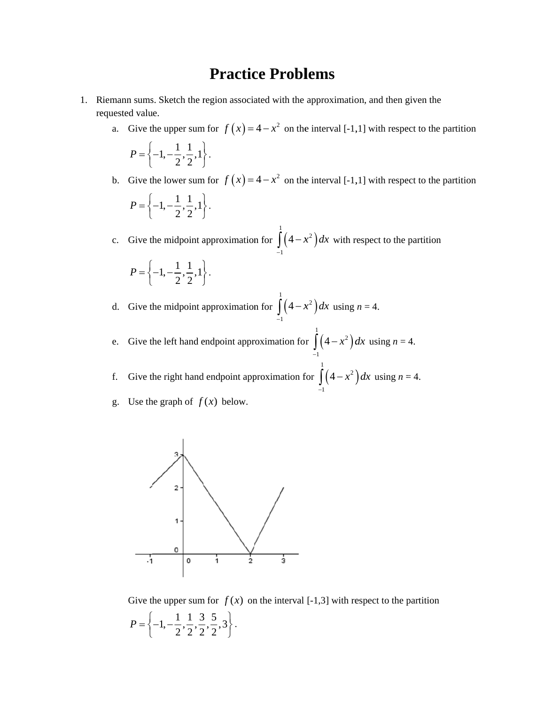## **Practice Problems**

- 1. Riemann sums. Sketch the region associated with the approximation, and then given the requested value.
	- a. Give the upper sum for  $f(x) = 4 x^2$  on the interval [-1,1] with respect to the partition

$$
P = \left\{-1, -\frac{1}{2}, \frac{1}{2}, 1\right\}.
$$

b. Give the lower sum for  $f(x) = 4 - x^2$  on the interval [-1,1] with respect to the partition  $P = \begin{cases}$  $\left\{-1, -\frac{1}{2}, \frac{1}{2}, 1\right\}$  $\bigg\}$ .

c. Give the midpoint approximation for  $\vert \vert$ 1 1  $4 - x$  $\int_{-1}^{1} (4 - x^2) dx$  with respect to the partition

$$
P = \left\{-1, -\frac{1}{2}, \frac{1}{2}, 1\right\}.
$$

d. Give the midpoint approximation for  $\vert \vert$ 1 1  $4 - x$  $\int_{-1}^{1} (4-x^2) dx$  using  $n = 4$ .

e. Give the left hand endpoint approximation for  $(4-x^2)$ 1 2 1  $4-x^2$  d  $\int_{-1}^{1} (4 - x^2) dx$  using *n* = 4.

f. Give the right hand endpoint approximation for  $(4-x^2)$ 1 2 1  $4 - x$  $\int_{-1}^{1} (4-x^2) dx$  using  $n = 4$ .

g. Use the graph of  $f(x)$  below.



Give the upper sum for  $f(x)$  on the interval  $[-1,3]$  with respect to the partition  $P = \begin{cases}$  $\left\{-1, -\frac{1}{2}, \frac{1}{2}, \frac{3}{2}, \frac{5}{2}, 3\right\}$ 2  $\mathbf{I}$  $\left\{ \right\}$ J .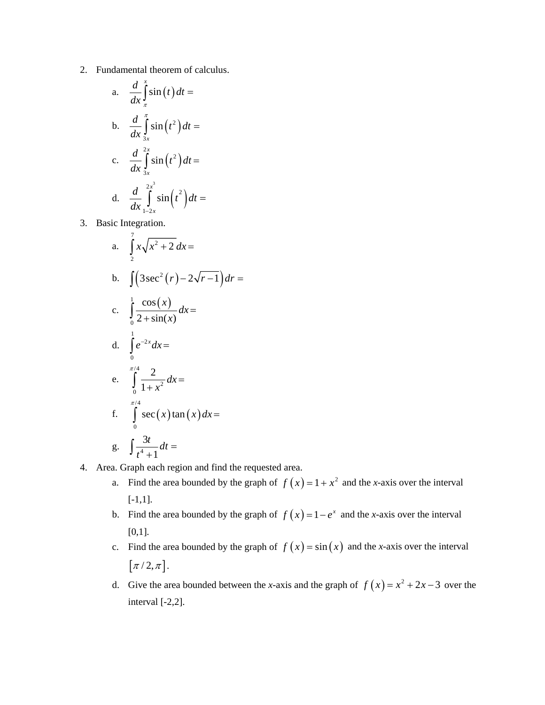2. Fundamental theorem of calculus.

a. 
$$
\frac{d}{dx} \int_{\pi}^{x} \sin(t) dt =
$$
  
\nb. 
$$
\frac{d}{dx} \int_{3x}^{\pi} \sin(t^2) dt =
$$
  
\nc. 
$$
\frac{d}{dx} \int_{3x}^{2x} \sin(t^2) dt =
$$
  
\nd. 
$$
\frac{d}{dx} \int_{1-2x}^{2x^3} \sin(t^2) dt =
$$

3. Basic Integration.

a. 
$$
\int_{2}^{7} x\sqrt{x^{2}+2} dx =
$$
  
\nb.  $\int (3\sec^{2}(r)-2\sqrt{r-1}) dr =$   
\nc.  $\int_{0}^{1} \frac{\cos(x)}{2+\sin(x)} dx =$   
\nd.  $\int_{0}^{1} e^{-2x} dx =$   
\ne.  $\int_{0}^{\frac{\pi}{4}} \frac{2}{1+x^{2}} dx =$   
\nf.  $\int_{0}^{\frac{\pi}{4}} \sec(x) \tan(x) dx =$   
\ng.  $\int \frac{3t}{t^{4}+1} dt =$ 

- 4. Area. Graph each region and find the requested area.
	- a. Find the area bounded by the graph of  $f(x) = 1 + x^2$  and the *x*-axis over the interval [-1,1].
	- b. Find the area bounded by the graph of  $f(x) = 1 e^x$  and the *x*-axis over the interval [0,1].
	- c. Find the area bounded by the graph of  $f(x) = \sin(x)$  and the *x*-axis over the interval  $[\pi/2, \pi]$ .
	- d. Give the area bounded between the *x*-axis and the graph of  $f(x) = x^2 + 2x 3$  over the interval [-2,2].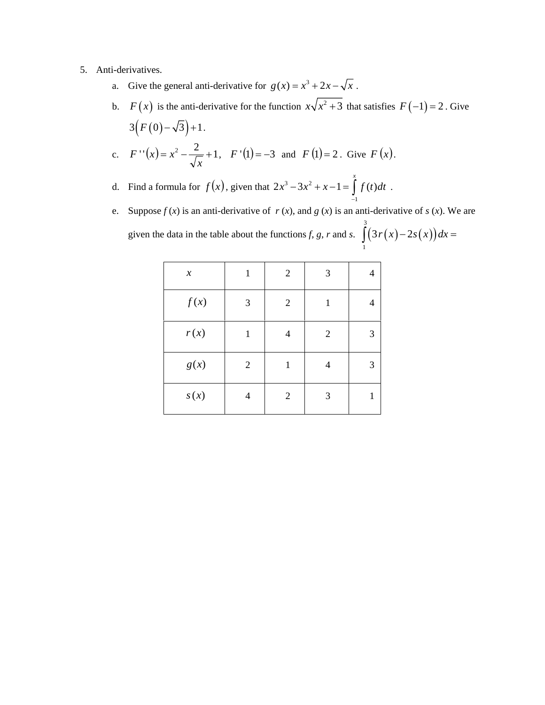## 5. Anti-derivatives.

- a. Give the general anti-derivative for  $g(x) = x^3 + 2x \sqrt{x}$ .
- b.  $F(x)$  is the anti-derivative for the function  $x\sqrt{x^2+3}$  that satisfies  $F(-1)=2$ . Give  $3(F(0)-\sqrt{3})+1$ . c.  $F''(x) = x^2 - \frac{2}{x-1} + 1$ *x*  $F''(x) = x^2 - \frac{2}{x} + 1$ ,  $F'(1) = -3$  and  $F(1) = 2$ . Give  $F(x)$ .
- d. Find a formula for  $f(x)$ , given that  $2x^3 3x^2$ 1  $2x^3 - 3x^2 + x - 1 = |f(t)|$ *x*  $x^3 - 3x^2 + x - 1 = \int f(t) dt$  $-3x^2 + x - 1 = \int_{-1}^{1} f(t) dt$ .
- e. Suppose  $f(x)$  is an anti-derivative of  $r(x)$ , and  $g(x)$  is an anti-derivative of  $s(x)$ . We are given the data in the table about the functions *f*, *g*, *r* and *s*.  $\left( \frac{3r(x)-2s(x)}{\sqrt{x}} \right)$ 3  $\int_{1}^{1}(3r(x)-2s(x))dx =$

| $\boldsymbol{\mathcal{X}}$ | 1            | $\overline{2}$ | 3              |   |
|----------------------------|--------------|----------------|----------------|---|
| f(x)                       | 3            | $\overline{2}$ | 1              |   |
| r(x)                       | 1            | 4              | $\overline{2}$ | 3 |
| g(x)                       | $\mathbf{2}$ | 1              | 4              | 3 |
| s(x)                       | 4            | $\mathfrak{2}$ | 3              |   |